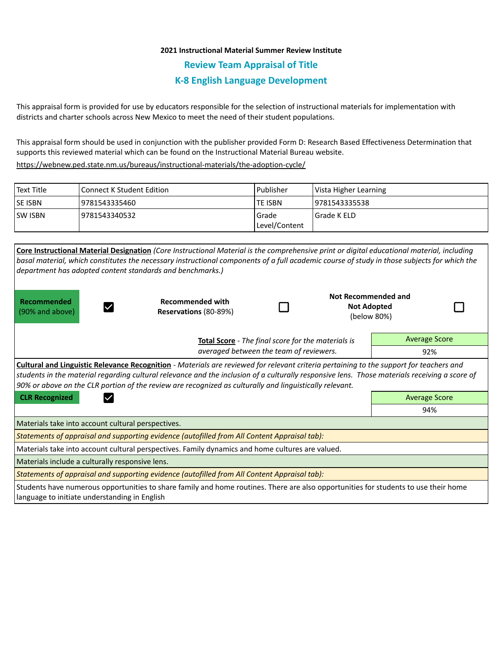## **2021 Instructional Material Summer Review Institute**

**Review Team Appraisal of Title**

## **K-8 English Language Development**

This appraisal form is provided for use by educators responsible for the selection of instructional materials for implementation with districts and charter schools across New Mexico to meet the need of their student populations.

This appraisal form should be used in conjunction with the publisher provided Form D: Research Based Effectiveness Determination that supports this reviewed material which can be found on the Instructional Material Bureau website.

<https://webnew.ped.state.nm.us/bureaus/instructional-materials/the-adoption-cycle/>

| Text Title     | <b>Connect K Student Edition</b> | Publisher     | Vista Higher Learning |  |
|----------------|----------------------------------|---------------|-----------------------|--|
| <b>SE ISBN</b> | 9781543335460                    | lte ISBN      | 19781543335538        |  |
| <b>SW ISBN</b> | 19781543340532                   | Grade         | I Grade K ELD         |  |
|                |                                  | Level/Content |                       |  |

| Core Instructional Material Designation (Core Instructional Material is the comprehensive print or digital educational material, including<br>basal material, which constitutes the necessary instructional components of a full academic course of study in those subjects for which the<br>department has adopted content standards and benchmarks.)                                                     |                                                  |     |  |                                                          |  |  |  |  |
|------------------------------------------------------------------------------------------------------------------------------------------------------------------------------------------------------------------------------------------------------------------------------------------------------------------------------------------------------------------------------------------------------------|--------------------------------------------------|-----|--|----------------------------------------------------------|--|--|--|--|
| Recommended<br>(90% and above)                                                                                                                                                                                                                                                                                                                                                                             | <b>Recommended with</b><br>Reservations (80-89%) |     |  | Not Recommended and<br><b>Not Adopted</b><br>(below 80%) |  |  |  |  |
| Total Score - The final score for the materials is<br>averaged between the team of reviewers.                                                                                                                                                                                                                                                                                                              |                                                  |     |  | <b>Average Score</b>                                     |  |  |  |  |
|                                                                                                                                                                                                                                                                                                                                                                                                            |                                                  |     |  | 92%                                                      |  |  |  |  |
| <b>Cultural and Linguistic Relevance Recognition</b> - Materials are reviewed for relevant criteria pertaining to the support for teachers and<br>students in the material regarding cultural relevance and the inclusion of a culturally responsive lens. Those materials receiving a score of<br>90% or above on the CLR portion of the review are recognized as culturally and linguistically relevant. |                                                  |     |  |                                                          |  |  |  |  |
| <b>CLR Recognized</b>                                                                                                                                                                                                                                                                                                                                                                                      | <b>Average Score</b>                             |     |  |                                                          |  |  |  |  |
|                                                                                                                                                                                                                                                                                                                                                                                                            |                                                  | 94% |  |                                                          |  |  |  |  |
| Materials take into account cultural perspectives.                                                                                                                                                                                                                                                                                                                                                         |                                                  |     |  |                                                          |  |  |  |  |
| Statements of appraisal and supporting evidence (autofilled from All Content Appraisal tab):                                                                                                                                                                                                                                                                                                               |                                                  |     |  |                                                          |  |  |  |  |
| Materials take into account cultural perspectives. Family dynamics and home cultures are valued.                                                                                                                                                                                                                                                                                                           |                                                  |     |  |                                                          |  |  |  |  |
| Materials include a culturally responsive lens.                                                                                                                                                                                                                                                                                                                                                            |                                                  |     |  |                                                          |  |  |  |  |
| Statements of appraisal and supporting evidence (autofilled from All Content Appraisal tab):                                                                                                                                                                                                                                                                                                               |                                                  |     |  |                                                          |  |  |  |  |
| Students have numerous opportunities to share family and home routines. There are also opportunities for students to use their home<br>language to initiate understanding in English                                                                                                                                                                                                                       |                                                  |     |  |                                                          |  |  |  |  |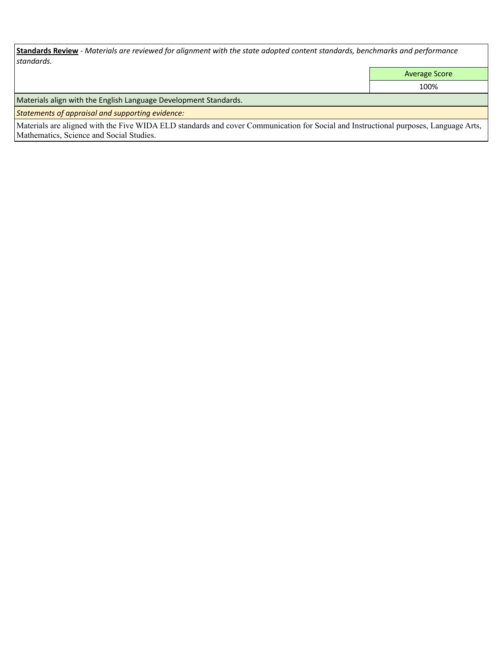**Standards Review** *- Materials are reviewed for alignment with the state adopted content standards, benchmarks and performance standards.*

Average Score

100%

Materials align with the English Language Development Standards.

*Statements of appraisal and supporting evidence:* 

Materials are aligned with the Five WIDA ELD standards and cover Communication for Social and Instructional purposes, Language Arts, Mathematics, Science and Social Studies.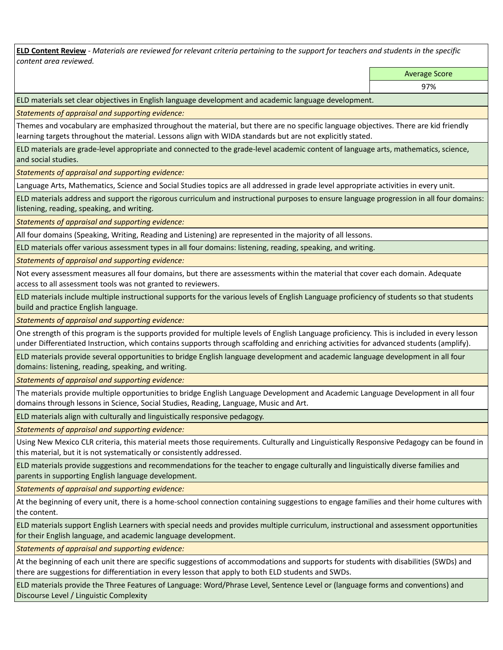**ELD Content Review** *- Materials are reviewed for relevant criteria pertaining to the support for teachers and students in the specific content area reviewed.*

Average Score

ELD materials set clear objectives in English language development and academic language development.

*Statements of appraisal and supporting evidence:* 

Themes and vocabulary are emphasized throughout the material, but there are no specific language objectives. There are kid friendly learning targets throughout the material. Lessons align with WIDA standards but are not explicitly stated.

ELD materials are grade-level appropriate and connected to the grade-level academic content of language arts, mathematics, science, and social studies.

*Statements of appraisal and supporting evidence:* 

Language Arts, Mathematics, Science and Social Studies topics are all addressed in grade level appropriate activities in every unit.

ELD materials address and support the rigorous curriculum and instructional purposes to ensure language progression in all four domains: listening, reading, speaking, and writing.

*Statements of appraisal and supporting evidence:* 

All four domains (Speaking, Writing, Reading and Listening) are represented in the majority of all lessons.

ELD materials offer various assessment types in all four domains: listening, reading, speaking, and writing.

*Statements of appraisal and supporting evidence:* 

Not every assessment measures all four domains, but there are assessments within the material that cover each domain. Adequate access to all assessment tools was not granted to reviewers.

ELD materials include multiple instructional supports for the various levels of English Language proficiency of students so that students build and practice English language.

*Statements of appraisal and supporting evidence:* 

One strength of this program is the supports provided for multiple levels of English Language proficiency. This is included in every lesson under Differentiated Instruction, which contains supports through scaffolding and enriching activities for advanced students (amplify).

ELD materials provide several opportunities to bridge English language development and academic language development in all four domains: listening, reading, speaking, and writing.

*Statements of appraisal and supporting evidence:* 

The materials provide multiple opportunities to bridge English Language Development and Academic Language Development in all four domains through lessons in Science, Social Studies, Reading, Language, Music and Art.

ELD materials align with culturally and linguistically responsive pedagogy.

*Statements of appraisal and supporting evidence:* 

Using New Mexico CLR criteria, this material meets those requirements. Culturally and Linguistically Responsive Pedagogy can be found in this material, but it is not systematically or consistently addressed.

ELD materials provide suggestions and recommendations for the teacher to engage culturally and linguistically diverse families and parents in supporting English language development.

*Statements of appraisal and supporting evidence:* 

At the beginning of every unit, there is a home-school connection containing suggestions to engage families and their home cultures with the content.

ELD materials support English Learners with special needs and provides multiple curriculum, instructional and assessment opportunities for their English language, and academic language development.

*Statements of appraisal and supporting evidence:* 

At the beginning of each unit there are specific suggestions of accommodations and supports for students with disabilities (SWDs) and there are suggestions for differentiation in every lesson that apply to both ELD students and SWDs.

ELD materials provide the Three Features of Language: Word/Phrase Level, Sentence Level or (language forms and conventions) and Discourse Level / Linguistic Complexity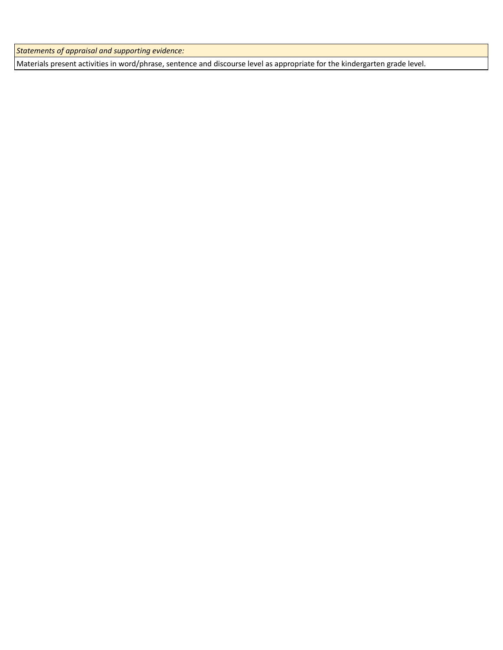*Statements of appraisal and supporting evidence:* 

Materials present activities in word/phrase, sentence and discourse level as appropriate for the kindergarten grade level.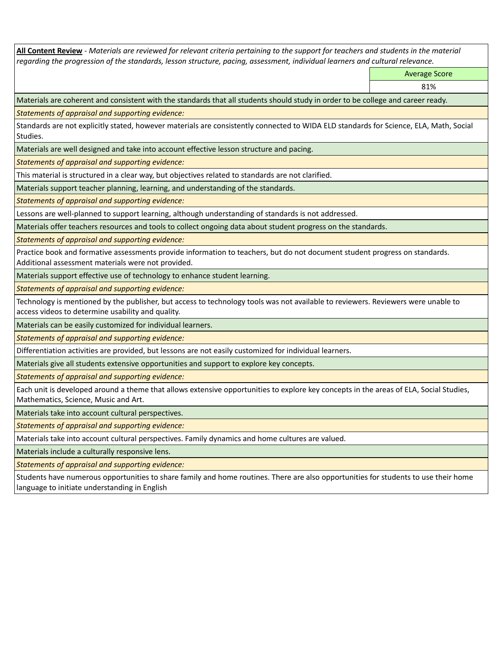**All Content Review** *- Materials are reviewed for relevant criteria pertaining to the support for teachers and students in the material regarding the progression of the standards, lesson structure, pacing, assessment, individual learners and cultural relevance.* Average Score 81% Materials are coherent and consistent with the standards that all students should study in order to be college and career ready. *Statements of appraisal and supporting evidence:* Standards are not explicitly stated, however materials are consistently connected to WIDA ELD standards for Science, ELA, Math, Social Studies. Materials are well designed and take into account effective lesson structure and pacing. *Statements of appraisal and supporting evidence:* This material is structured in a clear way, but objectives related to standards are not clarified. Materials support teacher planning, learning, and understanding of the standards. *Statements of appraisal and supporting evidence:* Lessons are well-planned to support learning, although understanding of standards is not addressed. Materials offer teachers resources and tools to collect ongoing data about student progress on the standards. *Statements of appraisal and supporting evidence:* Practice book and formative assessments provide information to teachers, but do not document student progress on standards. Additional assessment materials were not provided. Materials support effective use of technology to enhance student learning. *Statements of appraisal and supporting evidence:* Technology is mentioned by the publisher, but access to technology tools was not available to reviewers. Reviewers were unable to access videos to determine usability and quality. Materials can be easily customized for individual learners. *Statements of appraisal and supporting evidence:*  Differentiation activities are provided, but lessons are not easily customized for individual learners. Materials give all students extensive opportunities and support to explore key concepts. *Statements of appraisal and supporting evidence:* Each unit is developed around a theme that allows extensive opportunities to explore key concepts in the areas of ELA, Social Studies, Mathematics, Science, Music and Art. Materials take into account cultural perspectives. *Statements of appraisal and supporting evidence:* Materials take into account cultural perspectives. Family dynamics and home cultures are valued. Materials include a culturally responsive lens. *Statements of appraisal and supporting evidence:* Students have numerous opportunities to share family and home routines. There are also opportunities for students to use their home language to initiate understanding in English